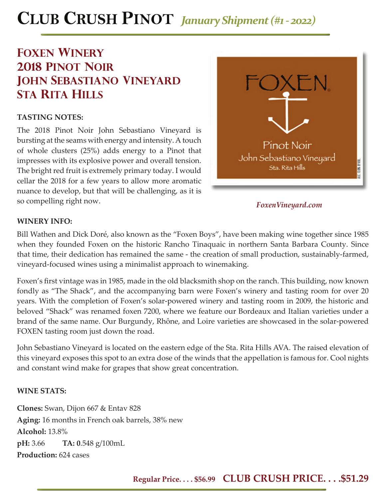# **CLUB CRUSH PINOT** *January Shipment (#1 - 2022)*

# **foxen winery 2018 pinot noir john sebastiano vineyard sta rita hills**

## **TASTING NOTES:**

The 2018 Pinot Noir John Sebastiano Vineyard is bursting at the seams with energy and intensity. A touch of whole clusters (25%) adds energy to a Pinot that impresses with its explosive power and overall tension. The bright red fruit is extremely primary today. I would cellar the 2018 for a few years to allow more aromatic nuance to develop, but that will be challenging, as it is so compelling right now.



*FoxenVineyard.com*

### **WINERY INFO:**

Bill Wathen and Dick Doré, also known as the "Foxen Boys", have been making wine together since 1985 when they founded Foxen on the historic Rancho Tinaquaic in northern Santa Barbara County. Since that time, their dedication has remained the same - the creation of small production, sustainably-farmed, vineyard-focused wines using a minimalist approach to winemaking.

Foxen's first vintage was in 1985, made in the old blacksmith shop on the ranch. This building, now known fondly as "The Shack", and the accompanying barn were Foxen's winery and tasting room for over 20 years. With the completion of Foxen's solar-powered winery and tasting room in 2009, the historic and beloved "Shack" was renamed foxen 7200, where we feature our Bordeaux and Italian varieties under a brand of the same name. Our Burgundy, Rhône, and Loire varieties are showcased in the solar-powered FOXEN tasting room just down the road.

John Sebastiano Vineyard is located on the eastern edge of the Sta. Rita Hills AVA. The raised elevation of this vineyard exposes this spot to an extra dose of the winds that the appellation is famous for. Cool nights and constant wind make for grapes that show great concentration.

### **WINE STATS:**

**Clones:** Swan, Dijon 667 & Entav 828 **Aging:** 16 months in French oak barrels, 38% new **Alcohol:** 13.8% **pH:** 3.66 **TA: 0**.548 g/100mL **Production:** 624 cases